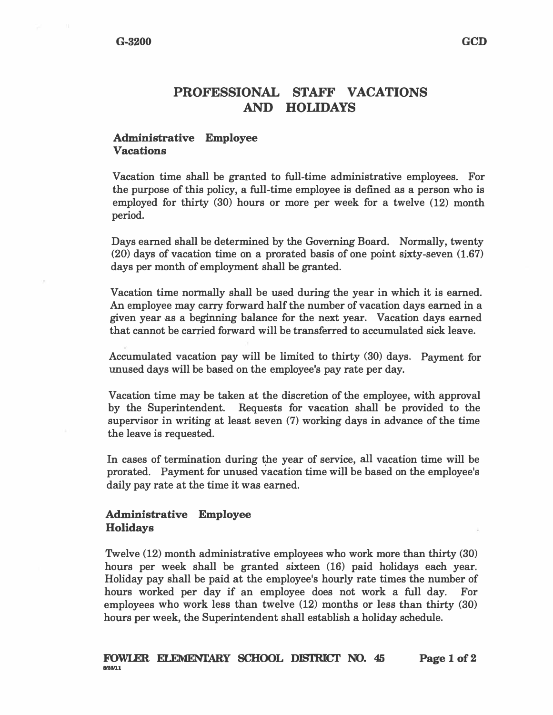## **PROFESSIONAL STAFF VACATIONS AND HOLIDAYS**

## **Administrative Employee Vacations**

**Vacation time shall be granted to full-time administrative employees. For the purpose of this policy, a full-time employee is defined as a person who is employed for thirty (30) hours or more per week for a twelve (12) month period.** 

**Days earned shall be determined by the Governing Board. Normally, twenty (20) days of vacation time on a prorated basis of one point sixty-seven (1.67) days per month of employment shall be granted.**

**Vacation time normally shall be used during the year in which it is earned. An employee may carry forward half the number of vacation days earned in a given year as a beginning balance for the next year. Vacation days earned that cannot be carried forward will be transferred to accumulated sick leave.** 

**Accumulated vacation pay will be limited to thirty (30) days. Payment for unused days will be based on the employee's pay rate per day.** 

**Vacation time may be taken at the discretion of the employee, with approval by the Superintendent. Requests for vacation shall be provided to the supervisor in writing at least seven (7) working days in advance of the time the leave is requested.** 

**In cases of termination during the year of service, all vacation time will be prorated. Payment for unused vacation time will be based on the employee's daily pay rate at the time it was earned.** 

## **Administrative Employee Holidays**

**Twelve (12) month administrative employees who work more than thirty (30) hours per week shall be granted sixteen (16) paid holidays each year. Holiday pay shall be paid at the employee's hourly rate times the number of hours worked per day if an employee does not work a full day. For employees who work less than twelve (12) months or less than thirty (30) hours per week, the Superintendent shall establish a holiday schedule.**